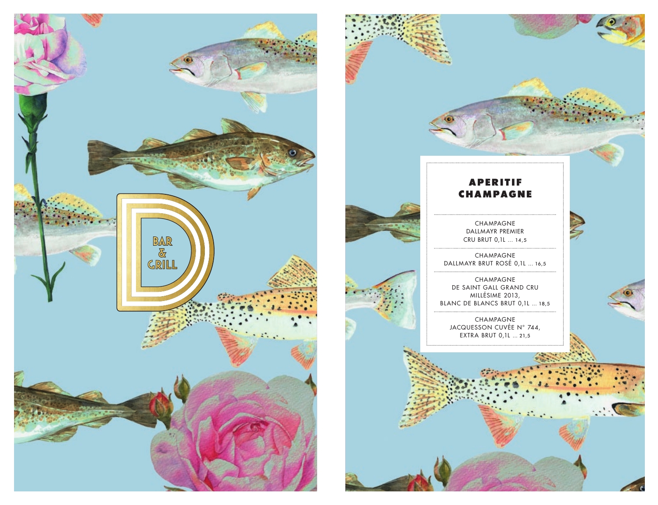